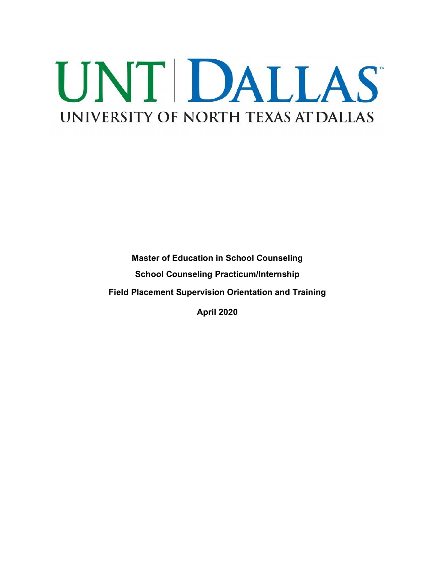# UNT DALLAS UNIVERSITY OF NORTH TEXAS AT DALLAS

**Master of Education in School Counseling School Counseling Practicum/Internship Field Placement Supervision Orientation and Training**

**April 2020**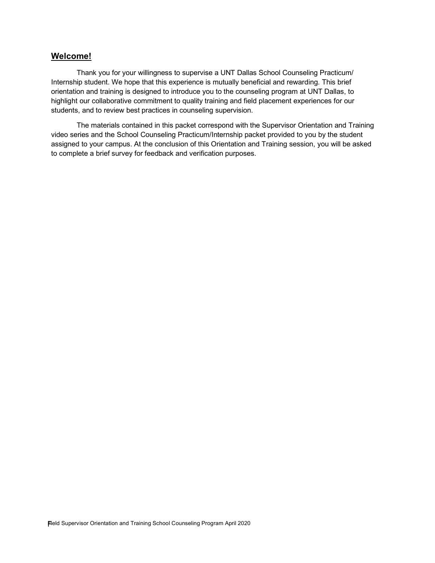## **Welcome!**

Thank you for your willingness to supervise a UNT Dallas School Counseling Practicum/ Internship student. We hope that this experience is mutually beneficial and rewarding. This brief orientation and training is designed to introduce you to the counseling program at UNT Dallas, to highlight our collaborative commitment to quality training and field placement experiences for our students, and to review best practices in counseling supervision.

The materials contained in this packet correspond with the Supervisor Orientation and Training video series and the School Counseling Practicum/Internship packet provided to you by the student assigned to your campus. At the conclusion of this Orientation and Training session, you will be asked to complete a brief survey for feedback and verification purposes.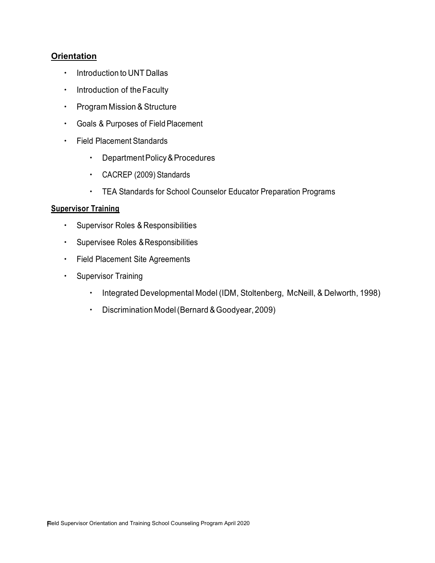# **Orientation**

- **•** Introduction to UNT Dallas
- **·** Introduction of the Faculty
- Program Mission & Structure
- Goals & Purposes of Field Placement
- Field Placement Standards
	- DepartmentPolicy&Procedures
	- CACREP (2009) Standards
	- TEA Standards for School Counselor Educator Preparation Programs

## **Supervisor Training**

- **·** Supervisor Roles & Responsibilities
- **·** Supervisee Roles & Responsibilities
- Field Placement Site Agreements
- Supervisor Training
	- Integrated Developmental Model (IDM, Stoltenberg, McNeill, & Delworth, 1998)
	- Discrimination Model(Bernard &Goodyear,2009)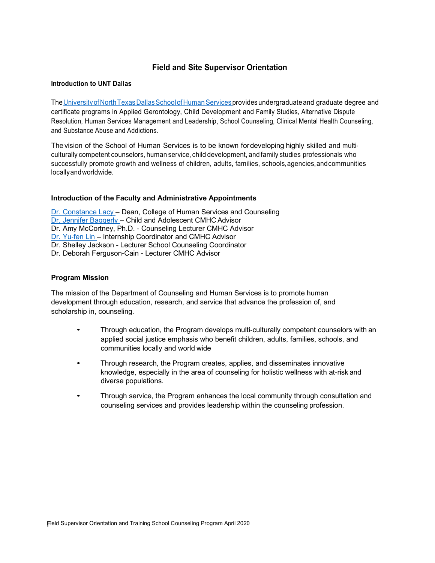# **Field and Site Supervisor Orientation**

## **Introduction to UNT Dallas**

The University of North Texas Dallas School of Human Services provides undergraduate and graduate degree and certificate programs in Applied Gerontology, Child Development and Family Studies, Alternative Dispute Resolution, Human Services Management and Leadership, School Counseling, Clinical Mental Health Counseling, and Substance Abuse and Addictions.

Thevision of the School of Human Services is to be known fordeveloping highly skilled and multiculturally competent counselors, human service, child development, and family studies professionals who successfully promote growth and wellness of children, adults, families, schools,agencies,andcommunities locallyandworldwide.

### **Introduction of the Faculty and Administrative Appointments**

Dr. Constance Lacy – Dean, College of Human Services and Counseling Dr. Jennifer Baggerly – Child and Adolescent CMHC Advisor Dr. Amy McCortney, Ph.D. - Counseling Lecturer CMHC Advisor Dr. Yu-fen Lin – Internship Coordinator and CMHC Advisor Dr. Shelley Jackson - Lecturer School Counseling Coordinator Dr. Deborah Ferguson-Cain - Lecturer CMHC Advisor

## **Program Mission**

The mission of the Department of Counseling and Human Services is to promote human development through education, research, and service that advance the profession of, and scholarship in, counseling.

- Through education, the Program develops multi-culturally competent counselors with an applied social justice emphasis who benefit children, adults, families, schools, and communities locally and world wide
- Through research, the Program creates, applies, and disseminates innovative knowledge, especially in the area of counseling for holistic wellness with at-risk and diverse populations.
- Through service, the Program enhances the local community through consultation and counseling services and provides leadership within the counseling profession.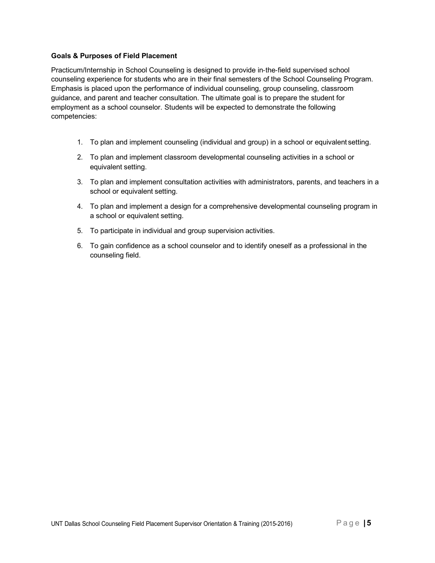## **Goals & Purposes of Field Placement**

Practicum/Internship in School Counseling is designed to provide in-the-field supervised school counseling experience for students who are in their final semesters of the School Counseling Program. Emphasis is placed upon the performance of individual counseling, group counseling, classroom guidance, and parent and teacher consultation. The ultimate goal is to prepare the student for employment as a school counselor. Students will be expected to demonstrate the following competencies:

- 1. To plan and implement counseling (individual and group) in a school or equivalent setting.
- 2. To plan and implement classroom developmental counseling activities in a school or equivalent setting.
- 3. To plan and implement consultation activities with administrators, parents, and teachers in a school or equivalent setting.
- 4. To plan and implement a design for a comprehensive developmental counseling program in a school or equivalent setting.
- 5. To participate in individual and group supervision activities.
- 6. To gain confidence as a school counselor and to identify oneself as a professional in the counseling field.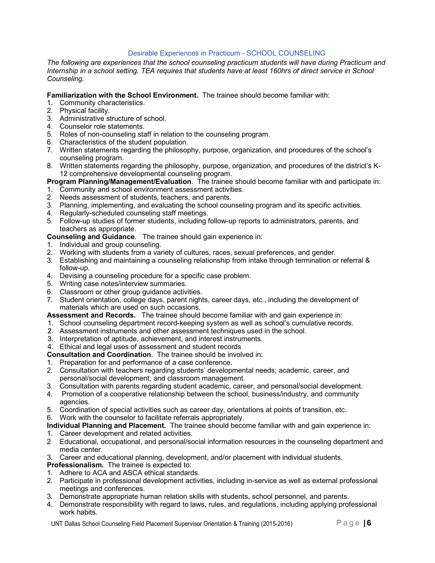## Desirable Experiences in Practicum - SCHOOL COUNSELING

*The following are experiences that the school counseling practicum students will have during Practicum and Internship in a school setting. TEA requires that students have at least 160hrs of direct service in School Counseling.*

#### **Familiarization with the School Environment.** The trainee should become familiar with:

- 1. Community characteristics.
- 2. Physical facility.
- 3. Administrative structure of school.
- 4. Counselor role statements.
- 5. Roles of non-counseling staff in relation to the counseling program.
- 6. Characteristics of the student population.
- 7. Written statements regarding the philosophy, purpose, organization, and procedures of the school's counseling program.
- 8. Written statements regarding the philosophy, purpose, organization, and procedures of the district's K-12 comprehensive developmental counseling program.

**Program Planning/Management/Evaluation**. The trainee should become familiar with and participate in:

- 1. Community and school environment assessment activities.
- 2. Needs assessment of students, teachers, and parents.
- 3. Planning, implementing, and evaluating the school counseling program and its specific activities.
- 4. Regularly-scheduled counseling staff meetings.
- 5. Follow-up studies of former students, including follow-up reports to administrators, parents, and teachers as appropriate.

**Counseling and Guidance**. The trainee should gain experience in:

- 1. Individual and group counseling.
- 2. Working with students from a variety of cultures, races, sexual preferences, and gender.
- 3. Establishing and maintaining a counseling relationship from intake through termination or referral & follow-up.
- 4. Devising a counseling procedure for a specific case problem.
- 5. Writing case notes/interview summaries.
- 6. Classroom or other group guidance activities.
- 7. Student orientation, college days, parent nights, career days, etc., including the development of materials which are used on such occasions.
- **Assessment and Records.** The trainee should become familiar with and gain experience in:
- 1. School counseling department record-keeping system as well as school's cumulative records.
- 2. Assessment instruments and other assessment techniques used in the school.
- 3. Interpretation of aptitude, achievement, and interest instruments.
- 4. Ethical and legal uses of assessment and student records

**Consultation and Coordination**. The trainee should be involved in:

- 1. Preparation for and performance of a case conference.
- 2. Consultation with teachers regarding students' developmental needs; academic, career, and personal/social development; and classroom management.
- 3. Consultation with parents regarding student academic, career, and personal/social development.
- 4. Promotion of a cooperative relationship between the school, business/industry, and community agencies.
- 5. Coordination of special activities such as career day, orientations at points of transition, etc.
- 6. Work with the counselor to facilitate referrals appropriately.

**Individual Planning and Placement.** The trainee should become familiar with and gain experience in:

- 1. Career development and related activities.
- 2 Educational, occupational, and personal/social information resources in the counseling department and media center.
- 3. Career and educational planning, development, and/or placement with individual students.
- **Professionalism.** The trainee is expected to:
- 1. Adhere to ACA and ASCA ethical standards.
- 2. Participate in professional development activities, including in-service as well as external professional meetings and conferences.
- 3. Demonstrate appropriate human relation skills with students, school personnel, and parents.
- 4. Demonstrate responsibility with regard to laws, rules, and regulations, including applying professional work habits.

UNT Dallas School Counseling Field Placement Supervisor Orientation & Training (2015-2016) **Page |6**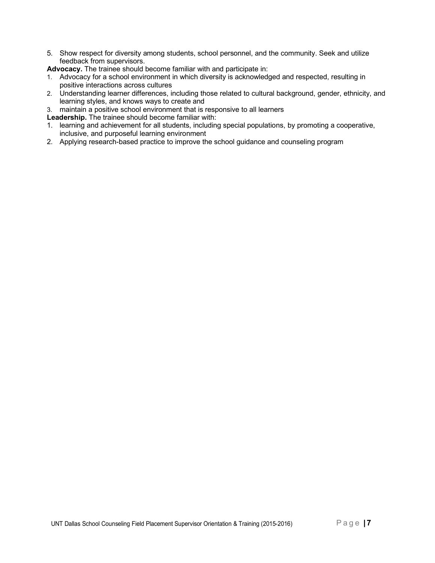5. Show respect for diversity among students, school personnel, and the community. Seek and utilize feedback from supervisors.

**Advocacy.** The trainee should become familiar with and participate in:

- 1. Advocacy for a school environment in which diversity is acknowledged and respected, resulting in positive interactions across cultures
- 2. Understanding learner differences, including those related to cultural background, gender, ethnicity, and learning styles, and knows ways to create and
- 3. maintain a positive school environment that is responsive to all learners
- **Leadership.** The trainee should become familiar with:
- 1. learning and achievement for all students, including special populations, by promoting a cooperative, inclusive, and purposeful learning environment
- 2. Applying research-based practice to improve the school guidance and counseling program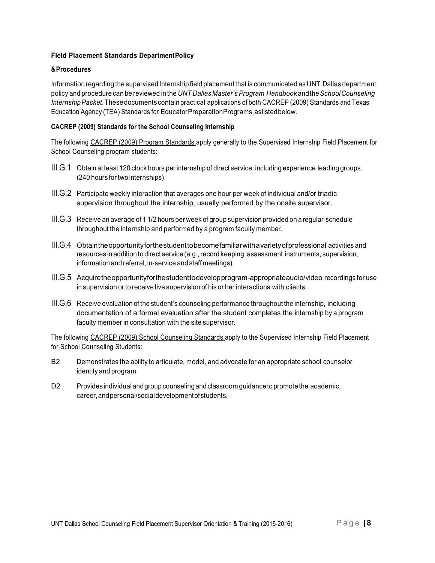## **Field Placement Standards DepartmentPolicy**

#### **&Procedures**

Information regarding the supervised Internship field placement that is communicated as UNT Dallas department policy and procedure can be reviewed in the *UNT Dallas Master's Program Handbook* andthe*SchoolCounseling InternshipPacket*.Thesedocuments containpractical applications of both CACREP (2009) Standards and Texas Education Agency (TEA) Standards for EducatorPreparationPrograms,aslistedbelow.

### **CACREP (2009) Standards for the School Counseling Internship**

The following CACREP (2009) Program Standards apply generally to the Supervised Internship Field Placement for School Counseling program students:

- III.G.1 Obtain at least 120 clock hours per internship of direct service, including experience leading groups. (240 hours for two internships)
- III.G.2 Participate weekly interaction that averages one hour per week of individual and/or triadic supervision throughout the internship, usually performed by the onsite supervisor.
- III.G.3 Receive an average of 1 1/2 hours per week of group supervision provided on a regular schedule throughout the internship and performed by a program faculty member.
- III.G.4 Obtaintheopportunityforthestudenttobecomefamiliarwithavarietyofprofessional activities and resources in addition to direct service (e.g., record keeping, assessment instruments, supervision, information and referral, in-service and staff meetings).
- III.G.5 Acquiretheopportunityforthestudenttodevelopprogram-appropriateaudio/video recordings for use in supervision or to receive live supervision of his or her interactions with clients.
- III.G.6 Receive evaluation of the student's counseling performance throughout the internship, including documentation of a formal evaluation after the student completes the internship by a program faculty member in consultation with the site supervisor.

The following CACREP (2009) School Counseling Standards apply to the Supervised Internship Field Placement for School Counseling Students:

- B2 Demonstrates the ability to articulate, model, and advocate for an appropriate school counselor identity and program.
- D2 Provides individual andgroup counselingand classroom guidanceto promotethe academic, career,andpersonal/socialdevelopmentofstudents.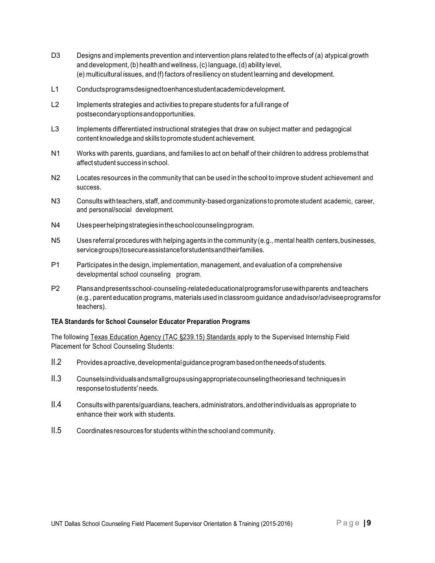- D3 Designs and implements prevention and intervention plans related to the effects of (a) atypical growth and development, (b) health and wellness, (c) language,(d) ability level, (e) multicultural issues, and (f) factors of resiliency on student learning and development.
- L1 Conductsprogramsdesignedtoenhancestudentacademicdevelopment.
- L2 Implements strategies and activities to prepare students for a full range of postsecondaryoptionsandopportunities.
- L3 Implements differentiated instructional strategies that draw on subject matter and pedagogical content knowledge and skills to promote student achievement.
- N1 Works with parents, guardians, and families to act on behalf of their children to address problems that affect student success in school.
- N2 Locates resources in the community that can be used in the school to improve student achievement and success.
- N3 Consults withteachers, staff, and community-based organizations to promote student academic, career, and personal/social development.
- N4 Usespeerhelpingstrategiesintheschoolcounselingprogram.
- N5 Uses referral procedures with helping agents in the community (e.g., mental health centers, businesses, servicegroups)tosecureassistanceforstudentsandtheirfamilies.
- P1 Participates in the design, implementation, management, and evaluation of a comprehensive developmental school counseling program.
- P2 Plansandpresentsschool-counseling-relatededucationalprogramsfor usewithparents andteachers (e.g., parent education programs, materials used in classroom guidance andadvisor/adviseeprogramsfor teachers).

#### **TEA Standards for School Counselor Educator Preparation Programs**

The following Texas Education Agency (TAC §239.15) Standards apply to the Supervised Internship Field Placement for School Counseling Students:

- II.2 Providesaproactive, developmentalguidanceprogram basedontheneedsof students.
- II.3 Counselsindividualsandsmallgroupsusingappropriatecounselingtheoriesand techniques in responsetostudents' needs.
- II.4 Consultswithparents/guardians,teachers, administrators, andotherindividualsas appropriate to enhance their work with students.
- II.5 Coordinates resources for students within the school and community.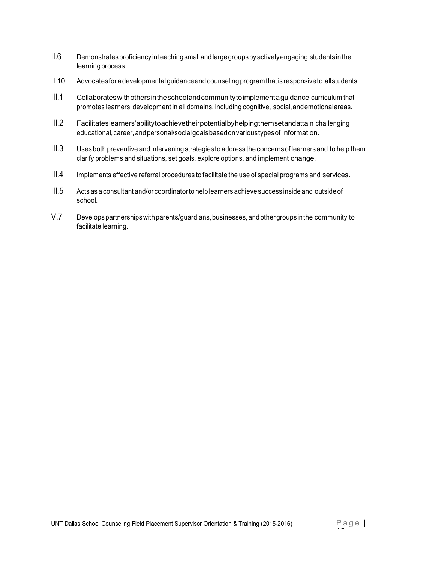- II.6 Demonstratesproficiency inteachingsmallandlargegroupsbyactivelyengaging studentsinthe learning process.
- II.10 Advocates for a developmental guidanceand counseling program that is responsiveto allstudents.
- III.1 Collaborateswithothersintheschoolandcommunitytoimplementaguidance curriculum that promotes learners' development in all domains, including cognitive, social,andemotionalareas.
- III.2 Facilitateslearners'abilitytoachievetheirpotentialbyhelpingthemsetandattain challenging educational, career, and personal/social goals based on varioustypes of information.
- III.3 Uses both preventive and intervening strategies to address the concerns of learners and to help them clarify problems and situations, set goals, explore options, and implement change.
- III.4 Implements effective referral procedures to facilitate the use of special programs and services.
- III.5 Acts as a consultant and/or coordinatorto help learners achievesuccess inside and outsideof school.
- V.7 Developspartnershipswithparents/guardians,businesses, andother groupsinthe community to facilitate learning.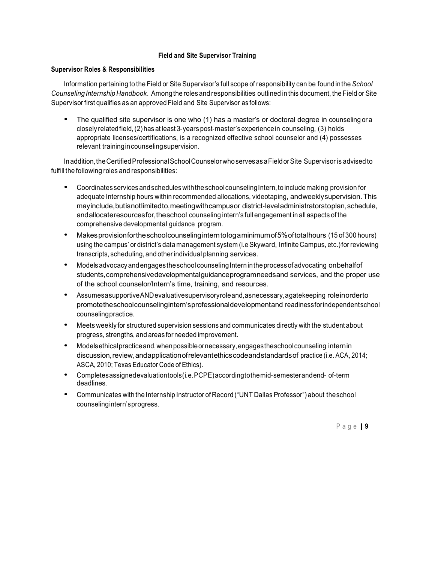### **Field and Site Supervisor Training**

#### **Supervisor Roles & Responsibilities**

Information pertaining to the Field or Site Supervisor's full scope of responsibility can be found inthe *School Counseling Internship Handbook*. Amongthe roles and responsibilities outlined in this document, the Field or Site Supervisor first qualifies as an approved Field and Site Supervisor as follows:

The qualified site supervisor is one who (1) has a master's or doctoral degree in counseling or a closely relatedfield,(2) has at least 3-years post-master's experiencein counseling, (3) holds appropriate licenses/certifications, is a recognized effective school counselor and (4) possesses relevant trainingincounselingsupervision.

Inaddition, the Certified Professional School Counselor who serves as a Field or Site Supervisor is advised to fulfill the following roles and responsibilities:

- Coordinates servicesandschedules withtheschoolcounselingIntern,to includemaking provision for adequate Internship hours within recommended allocations, videotaping, andweeklysupervision.This mayinclude,butisnotlimitedto,meetingwithcampusor district-leveladministratorstoplan,schedule, andallocateresourcesfor,theschool counseling intern's full engagement in all aspects of the comprehensive developmental guidance program.
- Makesprovisionfortheschoolcounselinginterntologaminimumof5%oftotalhours (15 of <sup>300</sup> hours) using the campus' or district's data management system (i.eSkyward, Infinite Campus, etc.)for reviewing transcripts, scheduling, and other individual planning services.
- Models advocacy and engages the school counseling Intern in the process of advocating on behalf of students,comprehensivedevelopmentalguidanceprogramneedsand services, and the proper use of the school counselor/Intern's time, training, and resources.
- AssumesasupportiveANDevaluativesupervisoryroleand,asnecessary,agatekeeping roleinorderto promotetheschoolcounselingintern'sprofessionaldevelopmentand readinessforindependentschool counselingpractice.
- Meets weekly for structured supervision sessions and communicates directly with the student about progress, strengths, and areas for needed improvement.
- Modelsethicalpracticeand,whenpossibleornecessary,engagestheschoolcounseling internin discussion,review,andapplicationofrelevantethicscodeandstandardsof practice (i.e. ACA, 2014; ASCA, 2010; Texas Educator Code of Ethics).
- Completesassignedevaluationtools(i.e.PCPE)accordingtothemid-semesterandend- of-term deadlines.
- Communicates with the Internship Instructor of Record ("UNT Dallas Professor") about theschool counselingintern'sprogress.

Pag <sup>e</sup> | **<sup>9</sup>**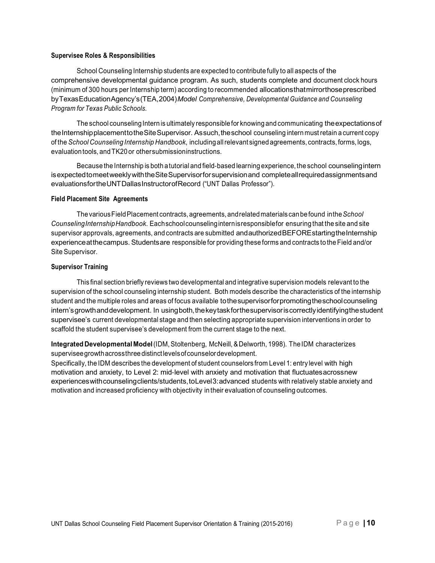#### **Supervisee Roles & Responsibilities**

School Counseling Internship students are expected to contribute fully to all aspects of the comprehensive developmental guidance program. As such, students complete and document clock hours (minimum of 300 hours per Internship term) according to recommended allocationsthatmirrorthoseprescribed byTexasEducationAgency's(TEA,2004)*Model Comprehensive, Developmental Guidance and Counseling Program for Texas Public Schools*.

The school counseling Intern is ultimately responsible for knowing and communicating the expectations of the Internshipplacement to the Site Supervisor. As such, the school counseling intern must retain a current copy of the *School Counseling Internship Handbook*, includingallrelevant signedagreements, contracts, forms, logs, evaluationtools, andTK20or othersubmissioninstructions.

Because the Internship is both atutorial and field-based learning experience, the school counselingintern isexpectedtomeetweeklywiththeSiteSupervisorforsupervisionand completeallrequiredassignmentsand evaluationsfortheUNTDallasInstructorofRecord ("UNT Dallas Professor").

#### **Field Placement Site Agreements**

ThevariousFieldPlacement contracts, agreements, andrelatedmaterials canbefound inthe*School CounselingInternshipHandbook*. Eachschoolcounselinginternisresponsiblefor ensuring that the site and site supervisor approvals, agreements, and contracts are submitted and authorized BEFORE starting the Internship experienceatthecampus. Studentsare responsible for providing these forms and contracts to the Field and/or Site Supervisor.

#### **Supervisor Training**

This final section briefly reviews two developmental and integrative supervision models relevant to the supervision of the school counseling internship student. Both models describe the characteristics of the internship student and the multiple roles and areas of focus available tothesupervisorforpromotingtheschoolcounseling intern's growth and development. In using both, the key task for the supervisor is correctly identifying the student supervisee's current developmental stage and then selecting appropriate supervision interventions in order to scaffold the student supervisee's development from the current stage to the next.

**Integrated Developmental Model**(IDM,Stoltenberg, McNeill, &Delworth, 1998). TheIDM characterizes superviseegrowthacrossthreedistinctlevelsofcounselordevelopment.

Specifically, the IDM describes the development of student counselors from Level 1: entry level with high motivation and anxiety, to Level 2: mid-level with anxiety and motivation that fluctuatesacrossnew experienceswithcounselingclients/students,toLevel3:advanced students with relatively stable anxiety and motivation and increased proficiency with objectivity in their evaluation of counseling outcomes.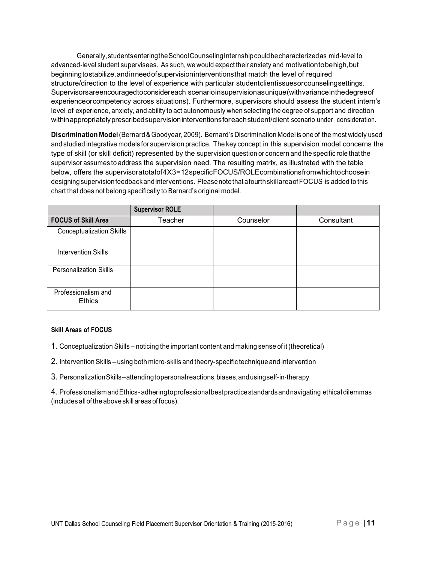Generally, students enteringthe School Counseling Internship could be characterized as mid-level to advanced-level student supervisees. As such, we would expect their anxiety and motivationtobehigh,but beginningtostabilize,andinneedofsupervisioninterventionsthat match the level of required structure/direction to the level of experience with particular studentclientissuesorcounselingsettings. Supervisorsareencouragedtoconsidereach scenarioinsupervisionasunique(withvarianceinthedegreeof experienceorcompetency across situations). Furthermore, supervisors should assess the student intern's level of experience, anxiety, and ability to act autonomously when selecting the degree of support and direction withinappropriatelyprescribedsupervisioninterventionsforeachstudent/client scenario under consideration.

**Discrimination Model**(Bernard&Goodyear, 2009). Bernard's Discrimination Model is one of the most widely used and studied integrative models for supervision practice. The key concept in this supervision model concerns the type of skill (or skill deficit) represented by the supervision question or concern and the specific role that the supervisor assumes to address the supervision need. The resulting matrix, as illustrated with the table below, offers the supervisoratotalof4X3=12specificFOCUS/ROLEcombinationsfromwhichtochoosein designingsupervisionfeedbackandinterventions. Pleasenotethat afourthskillareaofFOCUS is added to this chart that does not belong specifically to Bernard's original model.

|                                      | <b>Supervisor ROLE</b> |           |            |
|--------------------------------------|------------------------|-----------|------------|
| <b>FOCUS of Skill Area</b>           | Teacher                | Counselor | Consultant |
| <b>Conceptualization Skills</b>      |                        |           |            |
| <b>Intervention Skills</b>           |                        |           |            |
| <b>Personalization Skills</b>        |                        |           |            |
| Professionalism and<br><b>Ethics</b> |                        |           |            |

### **Skill Areas of FOCUS**

1. Conceptualization Skills – noticing the important content and making sense of it (theoretical)

- 2. Intervention Skills using both micro-skills and theory-specific technique and intervention
- 3. PersonalizationSkills–attendingtopersonalreactions,biases,andusingself-in-therapy

4. ProfessionalismandEthics-adheringtoprofessionalbestpracticestandardsandnavigating ethical dilemmas (includes all of the above skill areas of focus).